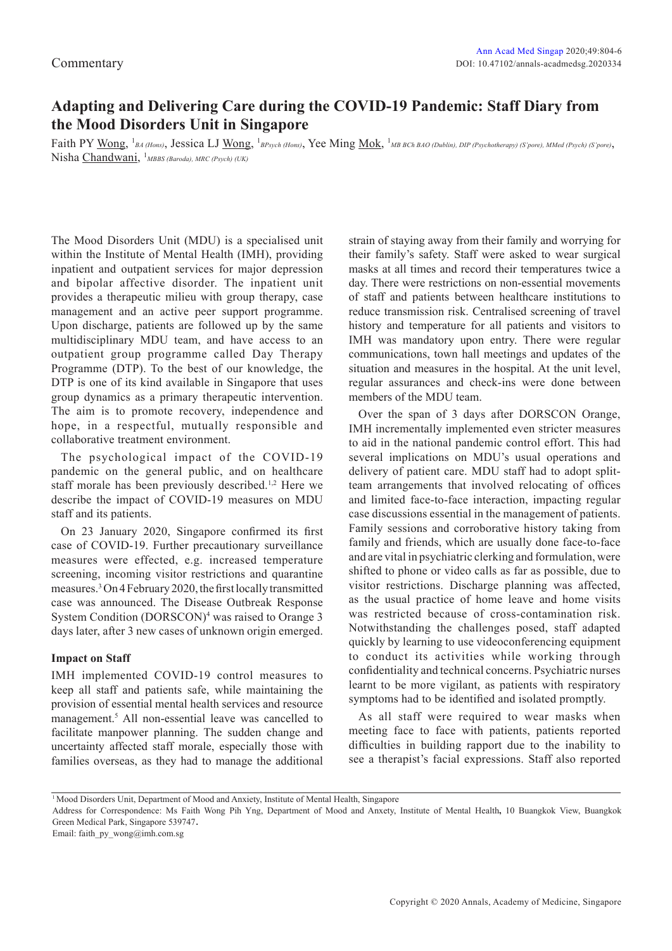# **Adapting and Delivering Care during the COVID-19 Pandemic: Staff Diary from the Mood Disorders Unit in Singapore**

Faith PY Wong, <sup>1</sup>BA (Hons), Jessica LJ Wong, <sup>1</sup>BPsych (Hons), Yee Ming Mok, <sup>1</sup>MB BCh BAO (Dublin), DIP (Psychotherapy) (S'pore), MMed (Psych) (S'pore), Nisha Chandwani, 1 *MBBS (Baroda), MRC (Psych) (UK)*

The Mood Disorders Unit (MDU) is a specialised unit within the Institute of Mental Health (IMH), providing inpatient and outpatient services for major depression and bipolar affective disorder. The inpatient unit provides a therapeutic milieu with group therapy, case management and an active peer support programme. Upon discharge, patients are followed up by the same multidisciplinary MDU team, and have access to an outpatient group programme called Day Therapy Programme (DTP). To the best of our knowledge, the DTP is one of its kind available in Singapore that uses group dynamics as a primary therapeutic intervention. The aim is to promote recovery, independence and hope, in a respectful, mutually responsible and collaborative treatment environment.

The psychological impact of the COVID-19 pandemic on the general public, and on healthcare staff morale has been previously described.<sup>1,2</sup> Here we describe the impact of COVID-19 measures on MDU staff and its patients.

On 23 January 2020, Singapore confirmed its first case of COVID-19. Further precautionary surveillance measures were effected, e.g. increased temperature screening, incoming visitor restrictions and quarantine measures.3 On 4 February 2020, the first locally transmitted case was announced. The Disease Outbreak Response System Condition (DORSCON)<sup>4</sup> was raised to Orange 3 days later, after 3 new cases of unknown origin emerged.

## **Impact on Staff**

IMH implemented COVID-19 control measures to keep all staff and patients safe, while maintaining the provision of essential mental health services and resource management.<sup>5</sup> All non-essential leave was cancelled to facilitate manpower planning. The sudden change and uncertainty affected staff morale, especially those with families overseas, as they had to manage the additional strain of staying away from their family and worrying for their family's safety. Staff were asked to wear surgical masks at all times and record their temperatures twice a day. There were restrictions on non-essential movements of staff and patients between healthcare institutions to reduce transmission risk. Centralised screening of travel history and temperature for all patients and visitors to IMH was mandatory upon entry. There were regular communications, town hall meetings and updates of the situation and measures in the hospital. At the unit level, regular assurances and check-ins were done between members of the MDU team.

Over the span of 3 days after DORSCON Orange, IMH incrementally implemented even stricter measures to aid in the national pandemic control effort. This had several implications on MDU's usual operations and delivery of patient care. MDU staff had to adopt splitteam arrangements that involved relocating of offices and limited face-to-face interaction, impacting regular case discussions essential in the management of patients. Family sessions and corroborative history taking from family and friends, which are usually done face-to-face and are vital in psychiatric clerking and formulation, were shifted to phone or video calls as far as possible, due to visitor restrictions. Discharge planning was affected, as the usual practice of home leave and home visits was restricted because of cross-contamination risk. Notwithstanding the challenges posed, staff adapted quickly by learning to use videoconferencing equipment to conduct its activities while working through confidentiality and technical concerns. Psychiatric nurses learnt to be more vigilant, as patients with respiratory symptoms had to be identified and isolated promptly.

As all staff were required to wear masks when meeting face to face with patients, patients reported difficulties in building rapport due to the inability to see a therapist's facial expressions. Staff also reported

<sup>1</sup> Mood Disorders Unit, Department of Mood and Anxiety, Institute of Mental Health, Singapore

Address for Correspondence: Ms Faith Wong Pih Yng, Department of Mood and Anxety, Institute of Mental Health**,** 10 Buangkok View, Buangkok Green Medical Park, Singapore 539747.

Email: faith\_py\_wong@imh.com.sg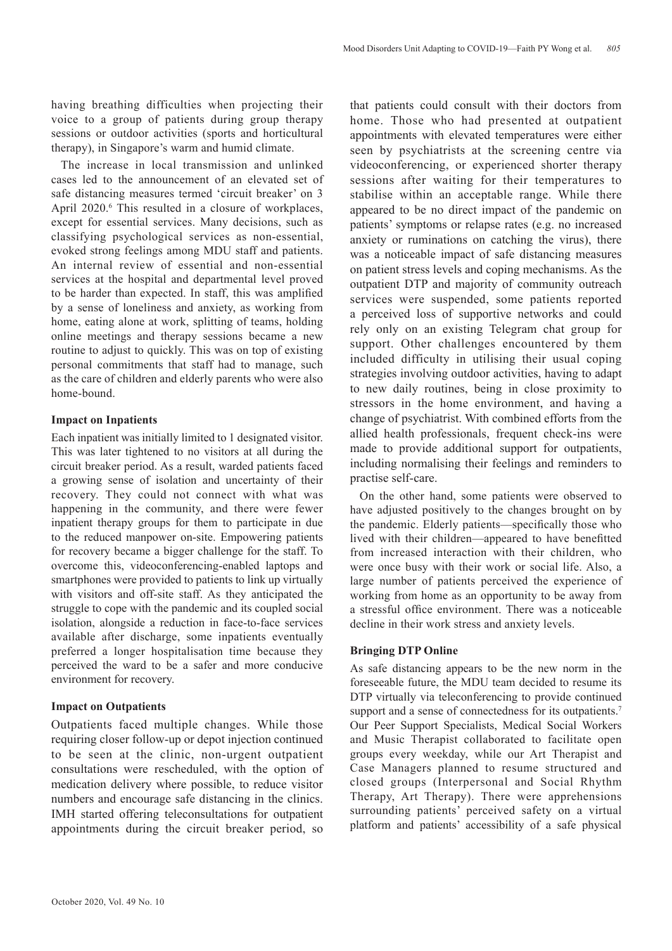having breathing difficulties when projecting their voice to a group of patients during group therapy sessions or outdoor activities (sports and horticultural therapy), in Singapore's warm and humid climate.

The increase in local transmission and unlinked cases led to the announcement of an elevated set of safe distancing measures termed 'circuit breaker' on 3 April 2020.<sup>6</sup> This resulted in a closure of workplaces, except for essential services. Many decisions, such as classifying psychological services as non-essential, evoked strong feelings among MDU staff and patients. An internal review of essential and non-essential services at the hospital and departmental level proved to be harder than expected. In staff, this was amplified by a sense of loneliness and anxiety, as working from home, eating alone at work, splitting of teams, holding online meetings and therapy sessions became a new routine to adjust to quickly. This was on top of existing personal commitments that staff had to manage, such as the care of children and elderly parents who were also home-bound.

## **Impact on Inpatients**

Each inpatient was initially limited to 1 designated visitor. This was later tightened to no visitors at all during the circuit breaker period. As a result, warded patients faced a growing sense of isolation and uncertainty of their recovery. They could not connect with what was happening in the community, and there were fewer inpatient therapy groups for them to participate in due to the reduced manpower on-site. Empowering patients for recovery became a bigger challenge for the staff. To overcome this, videoconferencing-enabled laptops and smartphones were provided to patients to link up virtually with visitors and off-site staff. As they anticipated the struggle to cope with the pandemic and its coupled social isolation, alongside a reduction in face-to-face services available after discharge, some inpatients eventually preferred a longer hospitalisation time because they perceived the ward to be a safer and more conducive environment for recovery.

## **Impact on Outpatients**

Outpatients faced multiple changes. While those requiring closer follow-up or depot injection continued to be seen at the clinic, non-urgent outpatient consultations were rescheduled, with the option of medication delivery where possible, to reduce visitor numbers and encourage safe distancing in the clinics. IMH started offering teleconsultations for outpatient appointments during the circuit breaker period, so that patients could consult with their doctors from home. Those who had presented at outpatient appointments with elevated temperatures were either seen by psychiatrists at the screening centre via videoconferencing, or experienced shorter therapy sessions after waiting for their temperatures to stabilise within an acceptable range. While there appeared to be no direct impact of the pandemic on patients' symptoms or relapse rates (e.g. no increased anxiety or ruminations on catching the virus), there was a noticeable impact of safe distancing measures on patient stress levels and coping mechanisms. As the outpatient DTP and majority of community outreach services were suspended, some patients reported a perceived loss of supportive networks and could rely only on an existing Telegram chat group for support. Other challenges encountered by them included difficulty in utilising their usual coping strategies involving outdoor activities, having to adapt to new daily routines, being in close proximity to stressors in the home environment, and having a change of psychiatrist. With combined efforts from the allied health professionals, frequent check-ins were made to provide additional support for outpatients, including normalising their feelings and reminders to practise self-care.

On the other hand, some patients were observed to have adjusted positively to the changes brought on by the pandemic. Elderly patients—specifically those who lived with their children—appeared to have benefitted from increased interaction with their children, who were once busy with their work or social life. Also, a large number of patients perceived the experience of working from home as an opportunity to be away from a stressful office environment. There was a noticeable decline in their work stress and anxiety levels.

## **Bringing DTP Online**

As safe distancing appears to be the new norm in the foreseeable future, the MDU team decided to resume its DTP virtually via teleconferencing to provide continued support and a sense of connectedness for its outpatients.<sup>7</sup> Our Peer Support Specialists, Medical Social Workers and Music Therapist collaborated to facilitate open groups every weekday, while our Art Therapist and Case Managers planned to resume structured and closed groups (Interpersonal and Social Rhythm Therapy, Art Therapy). There were apprehensions surrounding patients' perceived safety on a virtual platform and patients' accessibility of a safe physical